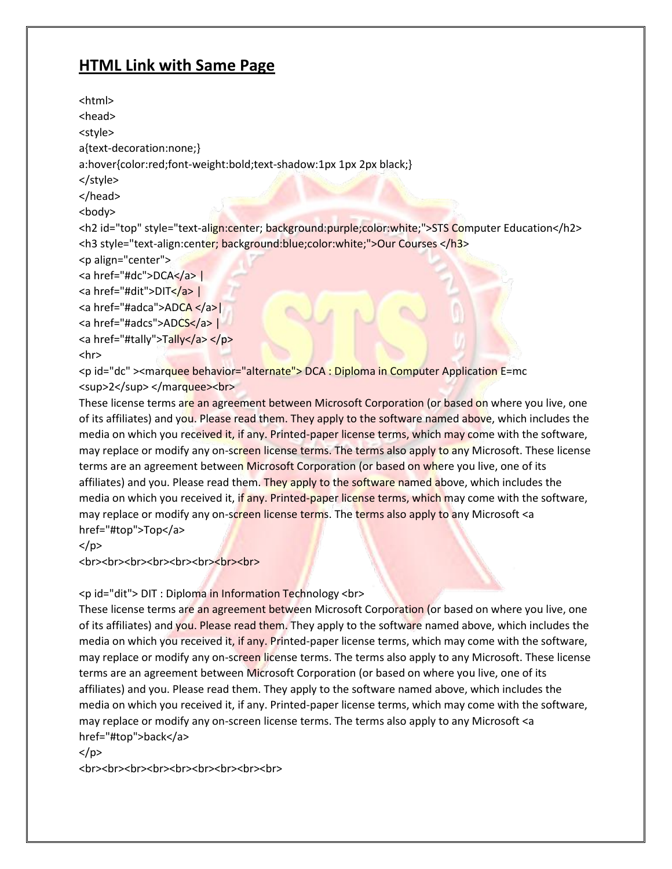# **HTML Link with Same Page**

<html> <head> <style> a{text-decoration:none;} a:hover{color:red;font-weight:bold;text-shadow:1px 1px 2px black;} </style> </head> <body> <h2 id="top" style="text-align:center; background:purple;color:white;">STS Computer Education</h2> <h3 style="text-align:center; background:blue;color:white;">Our Courses </h3> <p align="center"> <a href="#dc">DCA</a> | <a href="#dit">DIT</a> <a href="#adca">ADCA </a>| <a href="#adcs">ADCS</a> <a href="#tally">Tally</a> </p> <hr> <p id="dc" ><marquee behavior="alternate"> DCA : Diploma in Computer Application E=mc <sup>2</sup></marquee><br>

These license terms are an agreement between Microsoft Corporation (or based on where you live, one of its affiliates) and you. Please read them. They apply to the software named above, which includes the media on which you received it, if any. Printed-paper license terms, which may come with the software, may replace or modify any on-screen license terms. The terms also apply to any Microsoft. These license terms are an agreement between Microsoft Corporation (or based on where you live, one of its affiliates) and you. Please read them. They apply to the software named above, which includes the media on which you received it, if any. Printed-paper license terms, which may come with the software, may replace or modify any on-screen license terms. The terms also apply to any Microsoft <a href="#top">Top</a>

</p>

<br<br><br><br><br><br><br><br><br><br><br><br><br><br><br><br><br><br><br><br><br><br><br><br><br><br><br><br>

## <p id="dit"> DIT : Diploma in Information Technology <br>

These license terms are an agreement between Microsoft Corporation (or based on where you live, one of its affiliates) and you. Please read them. They apply to the software named above, which includes the media on which you received it, if any. Printed-paper license terms, which may come with the software, may replace or modify any on-screen license terms. The terms also apply to any Microsoft. These license terms are an agreement between Microsoft Corporation (or based on where you live, one of its affiliates) and you. Please read them. They apply to the software named above, which includes the media on which you received it, if any. Printed-paper license terms, which may come with the software, may replace or modify any on-screen license terms. The terms also apply to any Microsoft <a href="#top">back</a>

 $<$ /p>

<br<br><br><br><br><br><br><br><br><br><br><br><br><br><br><br><br><br><br><br><br><br><br><br>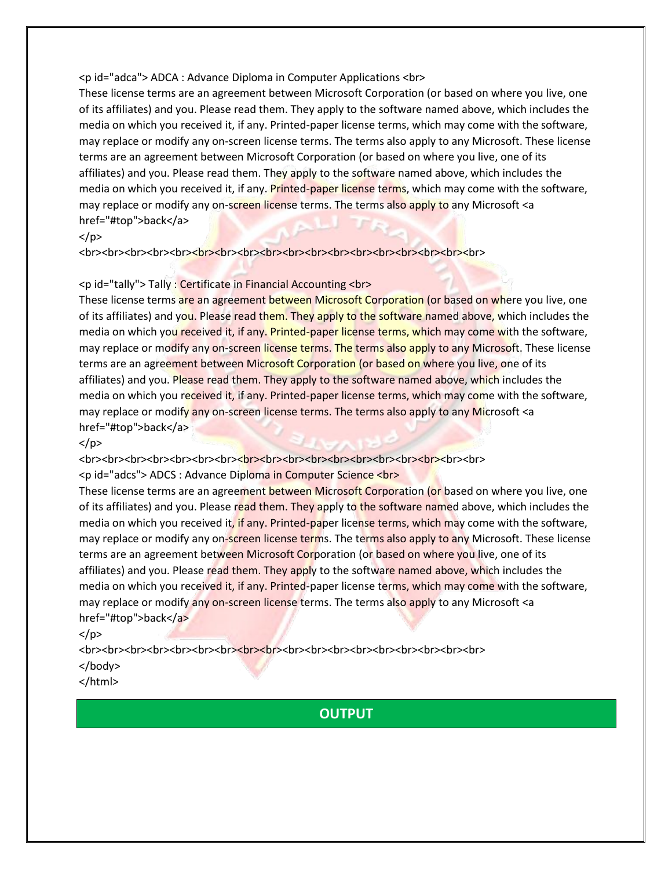## <p id="adca"> ADCA : Advance Diploma in Computer Applications <br>

These license terms are an agreement between Microsoft Corporation (or based on where you live, one of its affiliates) and you. Please read them. They apply to the software named above, which includes the media on which you received it, if any. Printed-paper license terms, which may come with the software, may replace or modify any on-screen license terms. The terms also apply to any Microsoft. These license terms are an agreement between Microsoft Corporation (or based on where you live, one of its affiliates) and you. Please read them. They apply to the software named above, which includes the media on which you received it, if any. Printed-paper license terms, which may come with the software, may replace or modify any on-screen license terms. The terms also apply to any Microsoft <a href="#top">back</a>

## $<$ /p>

<br><br><br><br><br><br><br>

## <p id="tally"> Tally : Certificate in Financial Accounting <br>

These license terms are an agreement between Microsoft Corporation (or based on where you live, one of its affiliates) and you. Please read them. They apply to the software named above, which includes the media on which you received it, if any. Printed-paper license terms, which may come with the software, may replace or modify any on-screen license terms. The terms also apply to any Microsoft. These license terms are an agreement between Microsoft Corporation (or based on where you live, one of its affiliates) and you. Please read them. They apply to the software named above, which includes the media on which you received it, if any. Printed-paper license terms, which may come with the software, may replace or modify any on-screen license terms. The terms also apply to any Microsoft <a href="#top">back</a>

## $<$ /p>

<br><br><br><br> <p id="adcs"> ADCS : Advance Diploma in Computer Science <br>

These license terms are an agreement between Microsoft Corporation (or based on where you live, one of its affiliates) and you. Please read them. They apply to the software named above, which includes the media on which you received it, if any. Printed-paper license terms, which may come with the software, may replace or modify any on-screen license terms. The terms also apply to any Microsoft. These license terms are an agreement between Microsoft Corporation (or based on where you live, one of its affiliates) and you. Please read them. They apply to the software named above, which includes the media on which you received it, if any. Printed-paper license terms, which may come with the software, may replace or modify any on-screen license terms. The terms also apply to any Microsoft <a href="#top">back</a>

 $<$ /p>

<br><br><br><br><br><br><br><br><br><br><br><br><br><br><br><br><br> </body>

## </html>

# **OUTPUT**